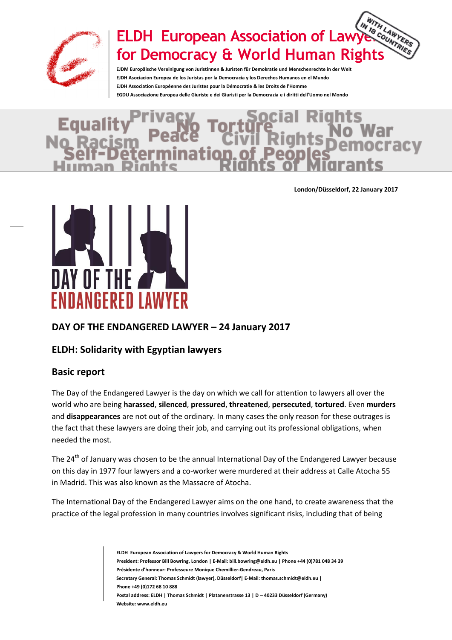

# **ELDH European Association of Lawyers for Democracy & World Human Rights**

**EJDM Europäische Vereinigung von Juristinnen & Juristen für Demokratie und Menschenrechte in der Welt EJDH Asociacion Europea de los Juristas por la Democracia y los Derechos Humanos en el Mundo EJDH Association Européenne des Juristes pour la Démocratie & les Droits de l'Homme EGDU Associazione Europea delle Giuriste e dei Giuristi per la Democrazia e i diritti dell'Uomo nel Mondo**

# **E**qua

**London/Düsseldorf, 22 January 2017**



# **DAY OF THE ENDANGERED LAWYER – 24 January 2017**

## **ELDH: Solidarity with Egyptian lawyers**

## **Basic report**

The Day of the Endangered Lawyer is the day on which we call for attention to lawyers all over the world who are being **harassed**, **silenced**, **pressured**, **threatened**, **persecuted**, **tortured**. Even **murders** and **disappearances** are not out of the ordinary. In many cases the only reason for these outrages is the fact that these lawyers are doing their job, and carrying out its professional obligations, when needed the most.

The 24<sup>th</sup> of January was chosen to be the annual International Day of the Endangered Lawyer because on this day in 1977 four lawyers and a co-worker were murdered at their address at Calle Atocha 55 in Madrid. This was also known as the Massacre of Atocha.

The International Day of the Endangered Lawyer aims on the one hand, to create awareness that the practice of the legal profession in many countries involves significant risks, including that of being

> **ELDH European Association of Lawyers for Democracy & World Human Rights President: Professor Bill Bowring, London | E-Mail: bill.bowring@eldh.eu | Phone +44 (0)781 048 34 39 Présidente d'honneur: Professeure Monique Chemillier-Gendreau, Paris Secretary General: Thomas Schmidt (lawyer), Düsseldorf| E-Mail: thomas.schmidt@eldh.eu | Phone +49 (0)172 68 10 888 Postal address: ELDH | Thomas Schmidt | Platanenstrasse 13 | D – 40233 Düsseldorf (Germany) Website: www.eldh.eu**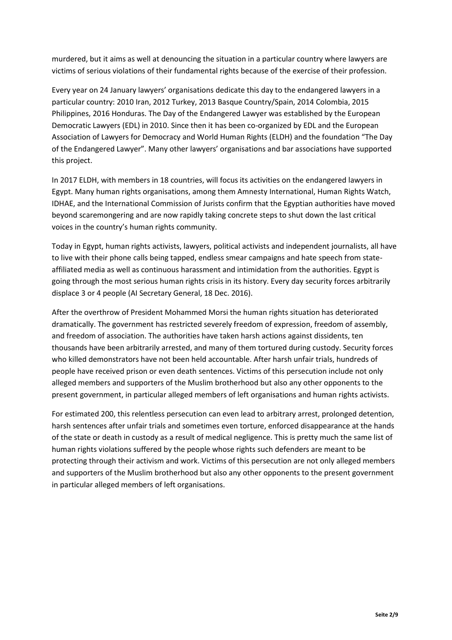murdered, but it aims as well at denouncing the situation in a particular country where lawyers are victims of serious violations of their fundamental rights because of the exercise of their profession.

Every year on 24 January lawyers' organisations dedicate this day to the endangered lawyers in a particular country: 2010 Iran, 2012 Turkey, 2013 Basque Country/Spain, 2014 Colombia, 2015 Philippines, 2016 Honduras. The Day of the Endangered Lawyer was established by the European Democratic Lawyers (EDL) in 2010. Since then it has been co-organized by EDL and the European Association of Lawyers for Democracy and World Human Rights (ELDH) and the foundation "The Day of the Endangered Lawyer". Many other lawyers' organisations and bar associations have supported this project.

In 2017 ELDH, with members in 18 countries, will focus its activities on the endangered lawyers in Egypt. Many human rights organisations, among them Amnesty International, Human Rights Watch, IDHAE, and the International Commission of Jurists confirm that the Egyptian authorities have moved beyond scaremongering and are now rapidly taking concrete steps to shut down the last critical voices in the country's human rights community.

Today in Egypt, human rights activists, lawyers, political activists and independent journalists, all have to live with their phone calls being tapped, endless smear campaigns and hate speech from stateaffiliated media as well as continuous harassment and intimidation from the authorities. Egypt is going through the most serious human rights crisis in its history. Every day security forces arbitrarily displace 3 or 4 people (AI Secretary General, 18 Dec. 2016).

After the overthrow of President Mohammed Morsi the human rights situation has deteriorated dramatically. The government has restricted severely freedom of expression, freedom of assembly, and freedom of association. The authorities have taken harsh actions against dissidents, ten thousands have been arbitrarily arrested, and many of them tortured during custody. Security forces who killed demonstrators have not been held accountable. After harsh unfair trials, hundreds of people have received prison or even death sentences. Victims of this persecution include not only alleged members and supporters of the Muslim brotherhood but also any other opponents to the present government, in particular alleged members of left organisations and human rights activists.

For estimated 200, this relentless persecution can even lead to arbitrary arrest, prolonged detention, harsh sentences after unfair trials and sometimes even torture, enforced disappearance at the hands of the state or death in custody as a result of medical negligence. This is pretty much the same list of human rights violations suffered by the people whose rights such defenders are meant to be protecting through their activism and work. Victims of this persecution are not only alleged members and supporters of the Muslim brotherhood but also any other opponents to the present government in particular alleged members of left organisations.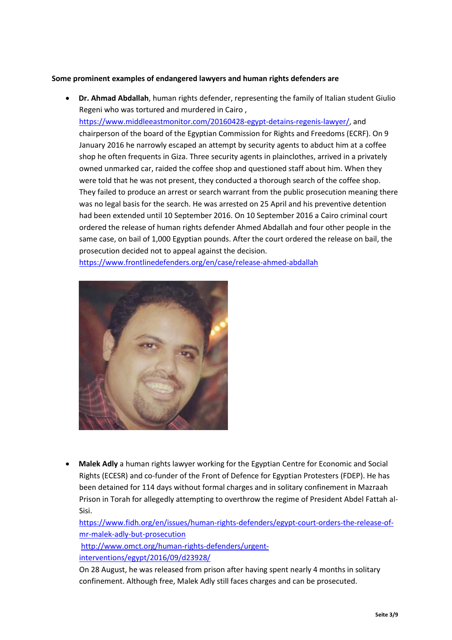#### **Some prominent examples of endangered lawyers and human rights defenders are**

 **Dr. Ahmad Abdallah**, human rights defender, representing the family of Italian student Giulio Regeni who was tortured and murdered in Cairo ,

[https://www.middleeastmonitor.com/20160428-egypt-detains-regenis-lawyer/,](https://www.middleeastmonitor.com/20160428-egypt-detains-regenis-lawyer/) and chairperson of the board of the Egyptian Commission for Rights and Freedoms (ECRF). On 9 January 2016 he narrowly escaped an attempt by security agents to abduct him at a coffee shop he often frequents in Giza. Three security agents in plainclothes, arrived in a privately owned unmarked car, raided the coffee shop and questioned staff about him. When they were told that he was not present, they conducted a thorough search of the coffee shop. They failed to produce an arrest or search warrant from the public prosecution meaning there was no legal basis for the search. He was arrested on 25 April and his preventive detention had been extended until 10 September 2016. On 10 September 2016 a Cairo criminal court ordered the release of human rights defender Ahmed Abdallah and four other people in the same case, on bail of 1,000 Egyptian pounds. After the court ordered the release on bail, the prosecution decided not to appeal against the decision.

<https://www.frontlinedefenders.org/en/case/release-ahmed-abdallah>



 **Malek Adly** a human rights lawyer working for the Egyptian Centre for Economic and Social Rights (ECESR) and co-funder of the Front of Defence for Egyptian Protesters (FDEP). He has been detained for 114 days without formal charges and in solitary confinement in Mazraah Prison in Torah for allegedly attempting to overthrow the regime of President Abdel Fattah al-Sisi.

[https://www.fidh.org/en/issues/human-rights-defenders/egypt-court-orders-the-release-of](https://www.fidh.org/en/issues/human-rights-defenders/egypt-court-orders-the-release-of-mr-malek-adly-but-prosecution)[mr-malek-adly-but-prosecution](https://www.fidh.org/en/issues/human-rights-defenders/egypt-court-orders-the-release-of-mr-malek-adly-but-prosecution)

[http://www.omct.org/human-rights-defenders/urgent](http://www.omct.org/human-rights-defenders/urgent-interventions/egypt/2016/09/d23928/)[interventions/egypt/2016/09/d23928/](http://www.omct.org/human-rights-defenders/urgent-interventions/egypt/2016/09/d23928/)

On 28 August, he was released from prison after having spent nearly 4 months in solitary confinement. Although free, Malek Adly still faces charges and can be prosecuted.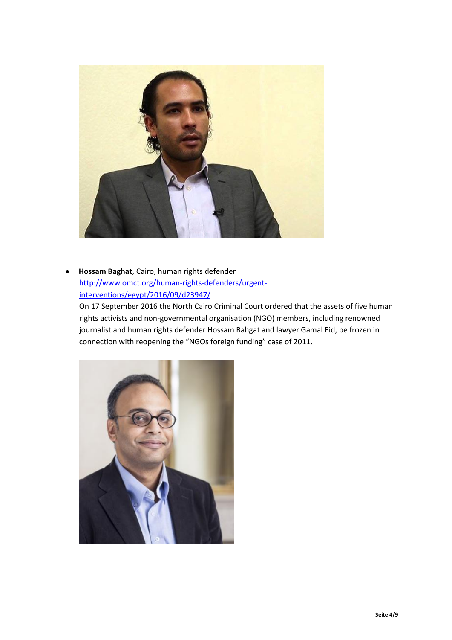

 **Hossam Baghat**, Cairo, human rights defender [http://www.omct.org/human-rights-defenders/urgent](http://www.omct.org/human-rights-defenders/urgent-interventions/egypt/2016/09/d23947/)[interventions/egypt/2016/09/d23947/](http://www.omct.org/human-rights-defenders/urgent-interventions/egypt/2016/09/d23947/)

On 17 September 2016 the North Cairo Criminal Court ordered that the assets of five human rights activists and non-governmental organisation (NGO) members, including renowned journalist and human rights defender Hossam Bahgat and lawyer Gamal Eid, be frozen in connection with reopening the "NGOs foreign funding" case of 2011.

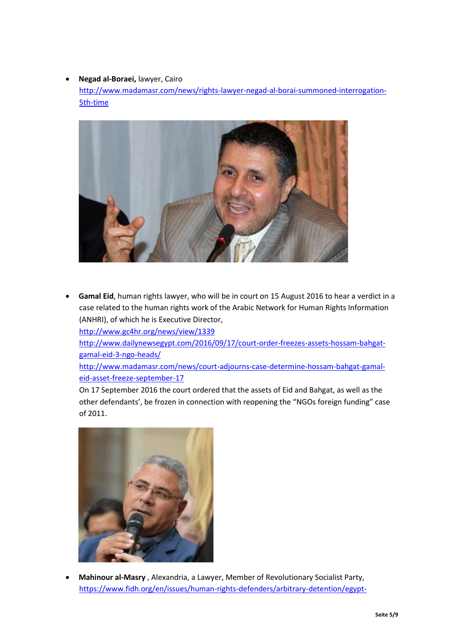#### **Negad al-Boraei,** lawyer, Cairo

[http://www.madamasr.com/news/rights-lawyer-negad-al-borai-summoned-interrogation-](http://www.madamasr.com/news/rights-lawyer-negad-al-borai-summoned-interrogation-5th-time)[5th-time](http://www.madamasr.com/news/rights-lawyer-negad-al-borai-summoned-interrogation-5th-time)



 **Gamal Eid**, human rights lawyer, who will be in court on 15 August 2016 to hear a verdict in a case related to the human rights work of the Arabic Network for Human Rights Information (ANHRI), of which he is Executive Director,

<http://www.gc4hr.org/news/view/1339>

[http://www.dailynewsegypt.com/2016/09/17/court-order-freezes-assets-hossam-bahgat](http://www.dailynewsegypt.com/2016/09/17/court-order-freezes-assets-hossam-bahgat-gamal-eid-3-ngo-heads/)[gamal-eid-3-ngo-heads/](http://www.dailynewsegypt.com/2016/09/17/court-order-freezes-assets-hossam-bahgat-gamal-eid-3-ngo-heads/)

[http://www.madamasr.com/news/court-adjourns-case-determine-hossam-bahgat-gamal](http://www.madamasr.com/news/court-adjourns-case-determine-hossam-bahgat-gamal-eid-asset-freeze-september-17)[eid-asset-freeze-september-17](http://www.madamasr.com/news/court-adjourns-case-determine-hossam-bahgat-gamal-eid-asset-freeze-september-17)

On 17 September 2016 the court ordered that the assets of Eid and Bahgat, as well as the other defendants', be frozen in connection with reopening the "NGOs foreign funding" case of 2011.



 **Mahinour al-Masry** , Alexandria, a Lawyer, Member of Revolutionary Socialist Party, [https://www.fidh.org/en/issues/human-rights-defenders/arbitrary-detention/egypt-](https://www.fidh.org/en/issues/human-rights-defenders/arbitrary-detention/egypt-continued-arbitrary-detention-of-ms-mahienour-el-massry-mr)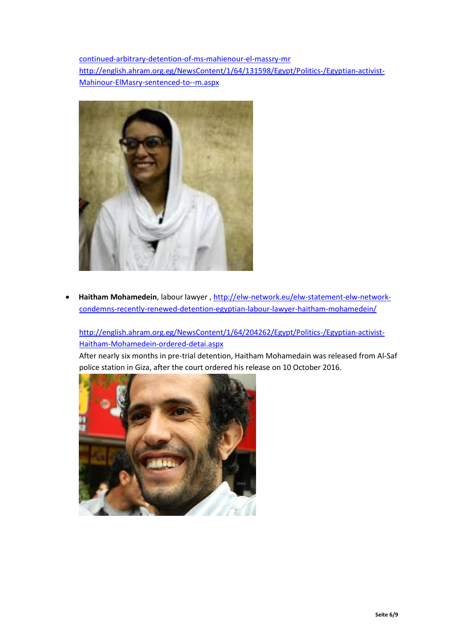[continued-arbitrary-detention-of-ms-mahienour-el-massry-mr](https://www.fidh.org/en/issues/human-rights-defenders/arbitrary-detention/egypt-continued-arbitrary-detention-of-ms-mahienour-el-massry-mr) [http://english.ahram.org.eg/NewsContent/1/64/131598/Egypt/Politics-/Egyptian-activist-](http://english.ahram.org.eg/NewsContent/1/64/131598/Egypt/Politics-/Egyptian-activist-Mahinour-ElMasry-sentenced-to--m.aspx)[Mahinour-ElMasry-sentenced-to--m.aspx](http://english.ahram.org.eg/NewsContent/1/64/131598/Egypt/Politics-/Egyptian-activist-Mahinour-ElMasry-sentenced-to--m.aspx)



 **Haitham Mohamedein**, labour lawyer , [http://elw-network.eu/elw-statement-elw-network](http://elw-network.eu/elw-statement-elw-network-condemns-recently-renewed-detention-egyptian-labour-lawyer-haitham-mohamedein/)[condemns-recently-renewed-detention-egyptian-labour-lawyer-haitham-mohamedein/](http://elw-network.eu/elw-statement-elw-network-condemns-recently-renewed-detention-egyptian-labour-lawyer-haitham-mohamedein/)

## [http://english.ahram.org.eg/NewsContent/1/64/204262/Egypt/Politics-/Egyptian-activist-](http://english.ahram.org.eg/NewsContent/1/64/204262/Egypt/Politics-/Egyptian-activist-Haitham-Mohamedein-ordered-detai.aspx)[Haitham-Mohamedein-ordered-detai.aspx](http://english.ahram.org.eg/NewsContent/1/64/204262/Egypt/Politics-/Egyptian-activist-Haitham-Mohamedein-ordered-detai.aspx)

After nearly six months in pre-trial detention, Haitham Mohamedain was released from Al-Saf police station in Giza, after the court ordered his release on 10 October 2016.

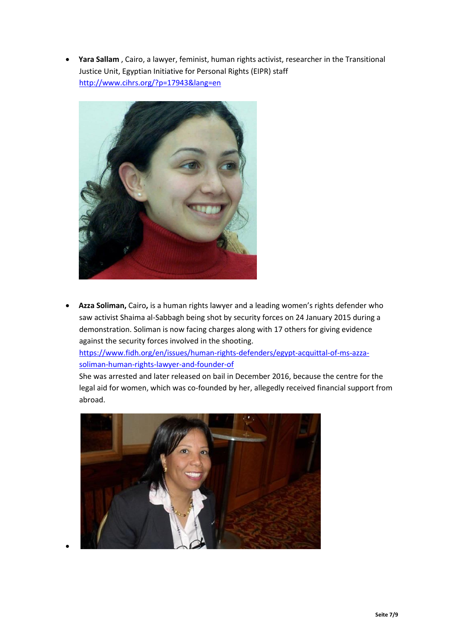**Yara Sallam** , Cairo, a lawyer, feminist, human rights activist, researcher in the Transitional Justice Unit, Egyptian Initiative for Personal Rights (EIPR) staff <http://www.cihrs.org/?p=17943&lang=en>



 **Azza Soliman,** Cairo**,** is a human rights lawyer and a leading women's rights defender who saw activist Shaima al-Sabbagh being shot by security forces on 24 January 2015 during a demonstration. Soliman is now facing charges along with 17 others for giving evidence against the security forces involved in the shooting.

[https://www.fidh.org/en/issues/human-rights-defenders/egypt-acquittal-of-ms-azza](https://www.fidh.org/en/issues/human-rights-defenders/egypt-acquittal-of-ms-azza-soliman-human-rights-lawyer-and-founder-of)[soliman-human-rights-lawyer-and-founder-of](https://www.fidh.org/en/issues/human-rights-defenders/egypt-acquittal-of-ms-azza-soliman-human-rights-lawyer-and-founder-of)

She was arrested and later released on bail in December 2016, because the centre for the legal aid for women, which was co-founded by her, allegedly received financial support from abroad.



 $\bullet$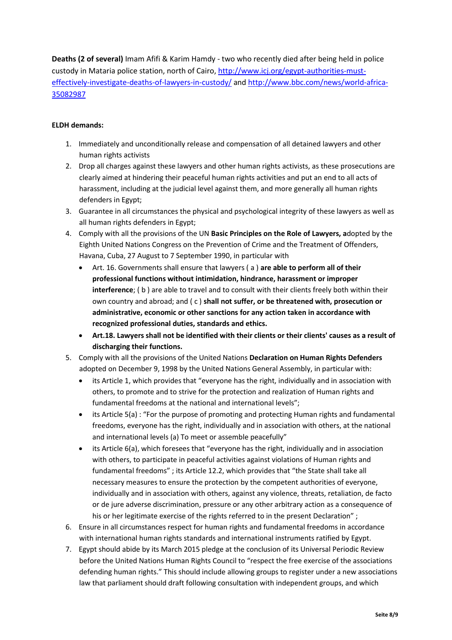**Deaths (2 of several)** Imam Afifi & Karim Hamdy - two who recently died after being held in police custody in Mataria police station, north of Cairo, [http://www.icj.org/egypt-authorities-must](http://www.icj.org/egypt-authorities-must-effectively-investigate-deaths-of-lawyers-in-custody/)[effectively-investigate-deaths-of-lawyers-in-custody/](http://www.icj.org/egypt-authorities-must-effectively-investigate-deaths-of-lawyers-in-custody/) and [http://www.bbc.com/news/world-africa-](http://www.bbc.com/news/world-africa-35082987)[35082987](http://www.bbc.com/news/world-africa-35082987)

#### **ELDH demands:**

- 1. Immediately and unconditionally release and compensation of all detained lawyers and other human rights activists
- 2. Drop all charges against these lawyers and other human rights activists, as these prosecutions are clearly aimed at hindering their peaceful human rights activities and put an end to all acts of harassment, including at the judicial level against them, and more generally all human rights defenders in Egypt;
- 3. Guarantee in all circumstances the physical and psychological integrity of these lawyers as well as all human rights defenders in Egypt;
- 4. Comply with all the provisions of the UN **Basic Principles on the Role of Lawyers, a**dopted by the Eighth United Nations Congress on the Prevention of Crime and the Treatment of Offenders, Havana, Cuba, 27 August to 7 September 1990, in particular with
	- Art. 16. Governments shall ensure that lawyers ( a ) **are able to perform all of their professional functions without intimidation, hindrance, harassment or improper interference**; ( b ) are able to travel and to consult with their clients freely both within their own country and abroad; and ( c ) **shall not suffer, or be threatened with, prosecution or administrative, economic or other sanctions for any action taken in accordance with recognized professional duties, standards and ethics.**
	- **Art.18. Lawyers shall not be identified with their clients or their clients' causes as a result of discharging their functions.**
- 5. Comply with all the provisions of the United Nations **Declaration on Human Rights Defenders** adopted on December 9, 1998 by the United Nations General Assembly, in particular with:
	- its Article 1, which provides that "everyone has the right, individually and in association with others, to promote and to strive for the protection and realization of Human rights and fundamental freedoms at the national and international levels";
	- its Article 5(a) : "For the purpose of promoting and protecting Human rights and fundamental freedoms, everyone has the right, individually and in association with others, at the national and international levels (a) To meet or assemble peacefully"
	- its Article 6(a), which foresees that "everyone has the right, individually and in association with others, to participate in peaceful activities against violations of Human rights and fundamental freedoms" ; its Article 12.2, which provides that "the State shall take all necessary measures to ensure the protection by the competent authorities of everyone, individually and in association with others, against any violence, threats, retaliation, de facto or de jure adverse discrimination, pressure or any other arbitrary action as a consequence of his or her legitimate exercise of the rights referred to in the present Declaration" ;
- 6. Ensure in all circumstances respect for human rights and fundamental freedoms in accordance with international human rights standards and international instruments ratified by Egypt.
- 7. Egypt should abide by its March 2015 pledge at the conclusion of its Universal Periodic Review before the United Nations Human Rights Council to "respect the free exercise of the associations defending human rights." This should include allowing groups to register under a new associations law that parliament should draft following consultation with independent groups, and which